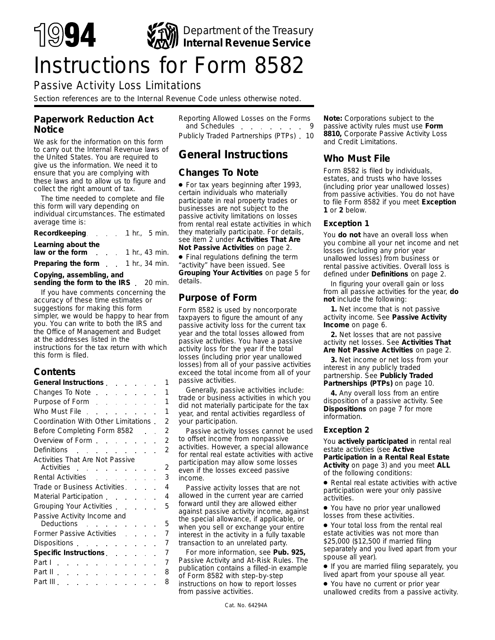

# Passive Activity Loss Limitations

*Section references are to the Internal Revenue Code unless otherwise noted.*

### **Paperwork Reduction Act Notice**

We ask for the information on this form to carry out the Internal Revenue laws of the United States. You are required to give us the information. We need it to ensure that you are complying with these laws and to allow us to figure and collect the right amount of tax.

The time needed to complete and file this form will vary depending on individual circumstances. The estimated average time is:

| Recordkeeping. 1hr., 5 min.              |  |  |
|------------------------------------------|--|--|
| Learning about the                       |  |  |
| law or the form $\ldots$ 1 hr., 43 min.  |  |  |
| <b>Preparing the form</b> 1 hr., 34 min. |  |  |

### **Copying, assembling, and**

sending the form to the IRS 20 min. If you have comments concerning the accuracy of these time estimates or suggestions for making this form simpler, we would be happy to hear from you. You can write to both the IRS and the Office of Management and Budget at the addresses listed in the instructions for the tax return with which this form is filed.

### **Contents**

| General Instructions extended                                                                                  |  |  |                          | 1                        |
|----------------------------------------------------------------------------------------------------------------|--|--|--------------------------|--------------------------|
| Changes To Note                                                                                                |  |  |                          | 1                        |
| Purpose of Form                                                                                                |  |  |                          | 1                        |
| Who Must File                                                                                                  |  |  |                          | 1                        |
| Coordination With Other Limitations.                                                                           |  |  |                          | 2                        |
| Before Completing Form 8582                                                                                    |  |  |                          | $\overline{\mathcal{L}}$ |
| Overview of Form                                                                                               |  |  |                          | 2                        |
| Definitions                                                                                                    |  |  |                          | $\overline{2}$           |
| Activities That Are Not Passive                                                                                |  |  |                          |                          |
| Activities                                                                                                     |  |  |                          | $\overline{2}$           |
| Rental Activities                                                                                              |  |  |                          | 3                        |
| Trade or Business Activities.                                                                                  |  |  |                          | 4                        |
| Material Participation                                                                                         |  |  |                          | $\overline{A}$           |
| Grouping Your Activities                                                                                       |  |  |                          | 5                        |
| Passive Activity Income and                                                                                    |  |  |                          |                          |
| Deductions extended and the set of the set of the set of the set of the set of the set of the set of the set o |  |  |                          | 5                        |
| Former Passive Activities.                                                                                     |  |  | <b>Contract Contract</b> | 7                        |
|                                                                                                                |  |  |                          | 7                        |
| Specific Instructions experience                                                                               |  |  |                          | 7                        |
| Part I                                                                                                         |  |  |                          | 7                        |
| Part II                                                                                                        |  |  |                          | 8                        |
| Part III                                                                                                       |  |  |                          | 8                        |

Reporting Allowed Losses on the Forms and Schedules extensive state of the same state of the state of the state of the state of the state of the state of the state of the state of the state of the state of the state of the state of the state of the state of th Publicly Traded Partnerships (PTPs) 10

# **General Instructions**

### **Changes To Note**

● For tax years beginning after 1993, certain individuals who materially participate in real property trades or businesses are not subject to the passive activity limitations on losses from rental real estate activities in which they materially participate. For details, see item 2 under **Activities That Are Not Passive Activities** on page 2.

● Final regulations defining the term "activity" have been issued. See **Grouping Your Activities** on page 5 for details.

### **Purpose of Form**

Form 8582 is used by noncorporate taxpayers to figure the amount of any passive activity loss for the current tax year and the total losses allowed from passive activities. You have a passive activity loss for the year if the total losses (including prior year unallowed losses) from all of your passive activities exceed the total income from all of your passive activities.

Generally, passive activities include: trade or business activities in which you did not materially participate for the tax year, and rental activities regardless of your participation.

Passive activity losses cannot be used to offset income from nonpassive activities. However, a special allowance for rental real estate activities with active participation may allow some losses even if the losses exceed passive income.

Passive activity losses that are not allowed in the current year are carried forward until they are allowed either against passive activity income, against the special allowance, if applicable, or when you sell or exchange your entire interest in the activity in a fully taxable transaction to an unrelated party.

For more information, see **Pub. 925,** Passive Activity and At-Risk Rules. The publication contains a filled-in example of Form 8582 with step-by-step instructions on how to report losses from passive activities.

**Note:** *Corporations subject to the passive activity rules must use Form 8810, Corporate Passive Activity Loss and Credit Limitations.*

### **Who Must File**

Form 8582 is filed by individuals, estates, and trusts who have losses (including prior year unallowed losses) from passive activities. You do not have to file Form 8582 if you meet **Exception 1** or **2** below.

#### **Exception 1**

You **do not** have an overall loss when you combine all your net income and net losses (including any prior year unallowed losses) from business or rental passive activities. Overall loss is defined under **Definitions** on page 2.

In figuring your overall gain or loss from all passive activities for the year, **do not** include the following:

**1.** Net income that is not passive activity income. See **Passive Activity Income** on page 6.

**2.** Net losses that are not passive activity net losses. See **Activities That Are Not Passive Activities** on page 2.

**3.** Net income or net loss from your interest in any publicly traded partnership. See **Publicly Traded Partnerships (PTPs)** on page 10.

**4.** Any overall loss from an entire disposition of a passive activity. See **Dispositions** on page 7 for more information.

#### **Exception 2**

You **actively participated** in rental real estate activities (see **Active Participation in a Rental Real Estate Activity** on page 3) and you meet **ALL** of the following conditions:

● Rental real estate activities with active participation were your only passive activities.

● You have no prior year unallowed losses from these activities.

● Your total loss from the rental real estate activities was not more than \$25,000 (\$12,500 if married filing separately and you lived apart from your spouse all year).

● If you are married filing separately, you lived apart from your spouse all year.

● You have no current or prior year unallowed credits from a passive activity.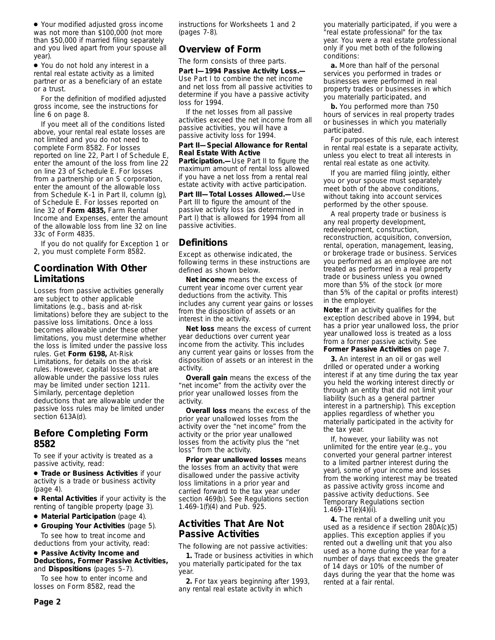● Your modified adjusted gross income was not more than \$100,000 (not more than \$50,000 if married filing separately and you lived apart from your spouse all year).

● You do not hold any interest in a rental real estate activity as a limited partner or as a beneficiary of an estate or a trust.

For the definition of modified adjusted gross income, see the instructions for line 6 on page 8.

If you meet all of the conditions listed above, your rental real estate losses are not limited and you do not need to complete Form 8582. For losses reported on line 22, Part I of Schedule E, enter the amount of the loss from line 22 on line 23 of Schedule E. For losses from a partnership or an S corporation, enter the amount of the allowable loss from Schedule K-1 in Part II, column (g), of Schedule E. For losses reported on line 32 of **Form 4835,** Farm Rental Income and Expenses, enter the amount of the allowable loss from line 32 on line 33c of Form 4835.

If you do not qualify for Exception 1 or 2, you must complete Form 8582.

# **Coordination With Other Limitations**

Losses from passive activities generally are subject to other applicable limitations (e.g., basis and at-risk limitations) before they are subject to the passive loss limitations. Once a loss becomes allowable under these other limitations, you must determine whether the loss is limited under the passive loss rules. Get **Form 6198,** At-Risk Limitations, for details on the at-risk rules. However, capital losses that are allowable under the passive loss rules may be limited under section 1211. Similarly, percentage depletion deductions that are allowable under the passive loss rules may be limited under section 613A(d).

### **Before Completing Form 8582**

To see if your activity is treated as a passive activity, read:

● **Trade or Business Activities** if your activity is a trade or business activity (page 4).

● **Rental Activities** if your activity is the renting of tangible property (page 3).

- **Material Participation** (page 4).
- **Grouping Your Activities** (page 5). To see how to treat income and

deductions from your activity, read:

#### ● **Passive Activity Income and Deductions, Former Passive Activities,** and **Dispositions** (pages 5–7).

To see how to enter income and losses on Form 8582, read the

instructions for Worksheets 1 and 2 (pages 7-8).

# **Overview of Form**

The form consists of three parts.

**Part I—1994 Passive Activity Loss.—** Use Part I to combine the net income and net loss from all passive activities to determine if you have a passive activity loss for 1994.

If the net losses from all passive activities exceed the net income from all passive activities, you will have a passive activity loss for 1994.

#### **Part II—Special Allowance for Rental Real Estate With Active**

**Participation.—**Use Part II to figure the maximum amount of rental loss allowed if you have a net loss from a rental real estate activity with active participation.

**Part III—Total Losses Allowed.—**Use Part III to figure the amount of the passive activity loss (as determined in Part I) that is allowed for 1994 from all passive activities.

### **Definitions**

Except as otherwise indicated, the following terms in these instructions are defined as shown below.

**Net income** means the excess of current year income over current year deductions from the activity. This includes any current year gains or losses from the disposition of assets or an interest in the activity.

**Net loss** means the excess of current year deductions over current year income from the activity. This includes any current year gains or losses from the disposition of assets or an interest in the activity.

**Overall gain** means the excess of the "net income" from the activity over the prior year unallowed losses from the activity.

**Overall loss** means the excess of the prior year unallowed losses from the activity over the "net income" from the activity or the prior year unallowed losses from the activity plus the "net loss" from the activity.

**Prior year unallowed losses** means the losses from an activity that were disallowed under the passive activity loss limitations in a prior year and carried forward to the tax year under section 469(b). See Regulations section 1.469-1(f)(4) and Pub. 925.

# **Activities That Are Not Passive Activities**

The following are not passive activities:

**1.** Trade or business activities in which you materially participated for the tax year.

**2.** For tax years beginning after 1993, any rental real estate activity in which

you materially participated, if you were a "real estate professional" for the tax year. You were a real estate professional only if you met both of the following conditions:

**a.** More than half of the personal services you performed in trades or businesses were performed in real property trades or businesses in which you materially participated, and

**b.** You performed more than 750 hours of services in real property trades or businesses in which you materially participated.

For purposes of this rule, each interest in rental real estate is a separate activity, unless you elect to treat all interests in rental real estate as one activity.

If you are married filing jointly, either you or your spouse must separately meet both of the above conditions, without taking into account services performed by the other spouse.

A real property trade or business is any real property development, redevelopment, construction, reconstruction, acquisition, conversion, rental, operation, management, leasing, or brokerage trade or business. Services you performed as an employee are not treated as performed in a real property trade or business unless you owned more than 5% of the stock (or more than 5% of the capital or profits interest) in the employer.

**Note:** *If an activity qualifies for the exception described above in 1994, but has a prior year unallowed loss, the prior year unallowed loss is treated as a loss from a former passive activity. See Former Passive Activities on page 7.*

**3.** An interest in an oil or gas well drilled or operated under a working interest if at any time during the tax year you held the working interest directly or through an entity that did not limit your liability (such as a general partner interest in a partnership). This exception applies regardless of whether you materially participated in the activity for the tax year.

If, however, your liability was not unlimited for the entire year (e.g., you converted your general partner interest to a limited partner interest during the year), some of your income and losses from the working interest may be treated as passive activity gross income and passive activity deductions. See Temporary Regulations section  $1.469 - 1T(e)(4)(ii)$ .

**4.** The rental of a dwelling unit you used as a residence if section 280A(c)(5) applies. This exception applies if you rented out a dwelling unit that you also used as a home during the year for a number of days that exceeds the greater of 14 days or 10% of the number of days during the year that the home was rented at a fair rental.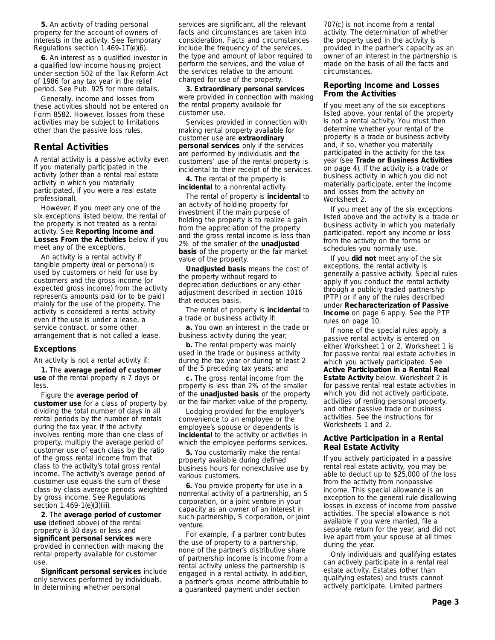**5.** An activity of trading personal property for the account of owners of interests in the activity. See Temporary Regulations section 1.469-1T(e)(6).

**6.** An interest as a qualified investor in a qualified low-income housing project under section 502 of the Tax Reform Act of 1986 for any tax year in the relief period. See Pub. 925 for more details.

Generally, income and losses from these activities should not be entered on Form 8582. However, losses from these activities may be subject to limitations other than the passive loss rules.

### **Rental Activities**

A rental activity is a passive activity even if you materially participated in the activity (other than a rental real estate activity in which you materially participated, if you were a real estate professional).

However, if you meet any one of the six exceptions listed below, the rental of the property is not treated as a rental activity. See **Reporting Income and Losses From the Activities** below if you meet any of the exceptions.

An activity is a rental activity if tangible property (real or personal) is used by customers or held for use by customers and the gross income (or expected gross income) from the activity represents amounts paid (or to be paid) mainly for the use of the property. The activity is considered a rental activity even if the use is under a lease, a service contract, or some other arrangement that is not called a lease.

### **Exceptions**

An activity is not a rental activity if:

**1.** The **average period of customer use** of the rental property is 7 days or less.

Figure the **average period of customer use** for a class of property by dividing the total number of days in all rental periods by the number of rentals during the tax year. If the activity involves renting more than one class of property, multiply the average period of customer use of each class by the ratio of the gross rental income from that class to the activity's total gross rental income. The activity's average period of customer use equals the sum of these class-by-class average periods weighted by gross income. See Regulations section 1.469-1(e)(3)(iii).

**2.** The **average period of customer use** (defined above) of the rental property is 30 days or less and **significant personal services** were provided in connection with making the rental property available for customer use.

**Significant personal services** include only services performed by individuals. In determining whether personal

services are significant, all the relevant facts and circumstances are taken into consideration. Facts and circumstances include the frequency of the services, the type and amount of labor required to perform the services, and the value of the services relative to the amount charged for use of the property.

**3. Extraordinary personal services** were provided in connection with making the rental property available for customer use.

Services provided in connection with making rental property available for customer use are **extraordinary personal services** only if the services are performed by individuals and the customers' use of the rental property is incidental to their receipt of the services.

**4.** The rental of the property is **incidental** to a nonrental activity.

The rental of property is **incidental** to an activity of holding property for investment if the main purpose of holding the property is to realize a gain from the appreciation of the property and the gross rental income is less than 2% of the smaller of the **unadjusted basis** of the property or the fair market value of the property.

**Unadjusted basis** means the cost of the property without regard to depreciation deductions or any other adjustment described in section 1016 that reduces basis.

The rental of property is **incidental** to a trade or business activity if:

**a.** You own an interest in the trade or business activity during the year;

**b.** The rental property was mainly used in the trade or business activity during the tax year or during at least 2 of the 5 preceding tax years; and

**c.** The gross rental income from the property is less than 2% of the smaller of the **unadjusted basis** of the property or the fair market value of the property.

Lodging provided for the employer's convenience to an employee or the employee's spouse or dependents is **incidental** to the activity or activities in which the employee performs services.

**5.** You customarily make the rental property available during defined business hours for nonexclusive use by various customers.

**6.** You provide property for use in a nonrental activity of a partnership, an S corporation, or a joint venture in your capacity as an owner of an interest in such partnership, S corporation, or joint venture.

For example, if a partner contributes the use of property to a partnership, none of the partner's distributive share of partnership income is income from a rental activity unless the partnership is engaged in a rental activity. In addition, a partner's gross income attributable to a guaranteed payment under section

707(c) is not income from a rental activity. The determination of whether the property used in the activity is provided in the partner's capacity as an owner of an interest in the partnership is made on the basis of all the facts and circumstances.

#### **Reporting Income and Losses From the Activities**

If you meet any of the six exceptions listed above, your rental of the property is not a rental activity. You must then determine whether your rental of the property is a trade or business activity and, if so, whether you materially participated in the activity for the tax year (see **Trade or Business Activities** on page 4). If the activity is a trade or business activity in which you did not materially participate, enter the income and losses from the activity on Worksheet 2.

If you meet any of the six exceptions listed above and the activity is a trade or business activity in which you materially participated, report any income or loss from the activity on the forms or schedules you normally use.

If you **did not** meet any of the six exceptions, the rental activity is generally a passive activity. Special rules apply if you conduct the rental activity through a publicly traded partnership (PTP) or if any of the rules described under **Recharacterization of Passive Income** on page 6 apply. See the PTP rules on page 10.

If none of the special rules apply, a passive rental activity is entered on either Worksheet 1 or 2. Worksheet 1 is for passive rental real estate activities in which you actively participated. See **Active Participation in a Rental Real Estate Activity** below. Worksheet 2 is for passive rental real estate activities in which you did not actively participate, activities of renting personal property, and other passive trade or business activities. See the instructions for Worksheets 1 and 2.

#### **Active Participation in a Rental Real Estate Activity**

If you actively participated in a passive rental real estate activity, you may be able to deduct up to \$25,000 of the loss from the activity from nonpassive income. This special allowance is an exception to the general rule disallowing losses in excess of income from passive activities. The special allowance is not available if you were married, file a separate return for the year, and did not live apart from your spouse at all times during the year.

Only individuals and qualifying estates can actively participate in a rental real estate activity. Estates (other than qualifying estates) and trusts cannot actively participate. Limited partners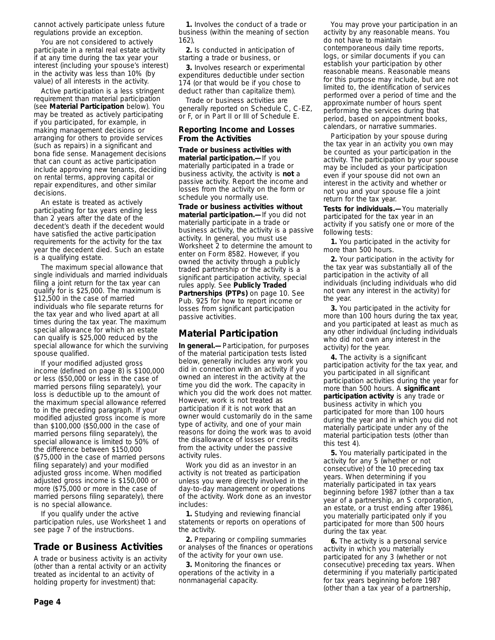cannot actively participate unless future regulations provide an exception.

You are not considered to actively participate in a rental real estate activity if at any time during the tax year your interest (including your spouse's interest) in the activity was less than 10% (by value) of all interests in the activity.

Active participation is a less stringent requirement than material participation (see **Material Participation** below). You may be treated as actively participating if you participated, for example, in making management decisions or arranging for others to provide services (such as repairs) in a significant and bona fide sense. Management decisions that can count as active participation include approving new tenants, deciding on rental terms, approving capital or repair expenditures, and other similar decisions.

An estate is treated as actively participating for tax years ending less than 2 years after the date of the decedent's death if the decedent would have satisfied the active participation requirements for the activity for the tax year the decedent died. Such an estate is a qualifying estate.

The maximum special allowance that single individuals and married individuals filing a joint return for the tax year can qualify for is \$25,000. The maximum is \$12,500 in the case of married individuals who file separate returns for the tax year and who lived apart at all times during the tax year. The maximum special allowance for which an estate can qualify is \$25,000 reduced by the special allowance for which the surviving spouse qualified.

If your modified adjusted gross income (defined on page 8) is \$100,000 or less (\$50,000 or less in the case of married persons filing separately), your loss is deductible up to the amount of the maximum special allowance referred to in the preceding paragraph. If your modified adjusted gross income is more than \$100,000 (\$50,000 in the case of married persons filing separately), the special allowance is limited to 50% of the difference between \$150,000 (\$75,000 in the case of married persons filing separately) and your modified adjusted gross income. When modified adjusted gross income is \$150,000 or more (\$75,000 or more in the case of married persons filing separately), there is no special allowance.

If you qualify under the active participation rules, use Worksheet 1 and see page 7 of the instructions.

### **Trade or Business Activities**

A trade or business activity is an activity (other than a rental activity or an activity treated as incidental to an activity of holding property for investment) that:

**1.** Involves the conduct of a trade or business (within the meaning of section 162),

**2.** Is conducted in anticipation of starting a trade or business, or

**3.** Involves research or experimental expenditures deductible under section 174 (or that would be if you chose to deduct rather than capitalize them).

Trade or business activities are generally reported on Schedule C, C-EZ, or F, or in Part II or III of Schedule E.

#### **Reporting Income and Losses From the Activities**

**Trade or business activities with material participation.—**If you materially participated in a trade or business activity, the activity is **not** a passive activity. Report the income and losses from the activity on the form or schedule you normally use.

**Trade or business activities without material participation.—**If you did not materially participate in a trade or business activity, the activity is a passive activity. In general, you must use Worksheet 2 to determine the amount to enter on Form 8582. However, if you owned the activity through a publicly traded partnership or the activity is a significant participation activity, special rules apply. See **Publicly Traded Partnerships (PTPs)** on page 10. See Pub. 925 for how to report income or losses from significant participation passive activities.

# **Material Participation**

**In general.—**Participation, for purposes of the material participation tests listed below, generally includes any work you did in connection with an activity if you owned an interest in the activity at the time you did the work. The capacity in which you did the work does not matter. However, work is not treated as participation if it is not work that an owner would customarily do in the same type of activity, and one of your main reasons for doing the work was to avoid the disallowance of losses or credits from the activity under the passive activity rules.

Work you did as an investor in an activity is not treated as participation unless you were directly involved in the day-to-day management or operations of the activity. Work done as an investor includes:

**1.** Studying and reviewing financial statements or reports on operations of the activity.

**2.** Preparing or compiling summaries or analyses of the finances or operations of the activity for your own use.

**3.** Monitoring the finances or operations of the activity in a nonmanagerial capacity.

You may prove your participation in an activity by any reasonable means. You do not have to maintain contemporaneous daily time reports, logs, or similar documents if you can establish your participation by other reasonable means. Reasonable means for this purpose may include, but are not limited to, the identification of services performed over a period of time and the approximate number of hours spent performing the services during that period, based on appointment books, calendars, or narrative summaries.

Participation by your spouse during the tax year in an activity you own may be counted as your participation in the activity. The participation by your spouse may be included as your participation even if your spouse did not own an interest in the activity and whether or not you and your spouse file a joint return for the tax year.

**Tests for individuals.—**You materially participated for the tax year in an activity if you satisfy one or more of the following tests:

**1.** You participated in the activity for more than 500 hours.

**2.** Your participation in the activity for the tax year was substantially all of the participation in the activity of all individuals (including individuals who did not own any interest in the activity) for the year.

**3.** You participated in the activity for more than 100 hours during the tax year, and you participated at least as much as any other individual (including individuals who did not own any interest in the activity) for the year.

**4.** The activity is a significant participation activity for the tax year, and you participated in all significant participation activities during the year for more than 500 hours. A **significant participation activity** is any trade or business activity in which you participated for more than 100 hours during the year and in which you did not materially participate under any of the material participation tests (other than this test 4).

**5.** You materially participated in the activity for any 5 (whether or not consecutive) of the 10 preceding tax years. When determining if you materially participated in tax years beginning before 1987 (other than a tax year of a partnership, an S corporation, an estate, or a trust ending after 1986), you materially participated only if you participated for more than 500 hours during the tax year.

**6.** The activity is a personal service activity in which you materially participated for any 3 (whether or not consecutive) preceding tax years. When determining if you materially participated for tax years beginning before 1987 (other than a tax year of a partnership,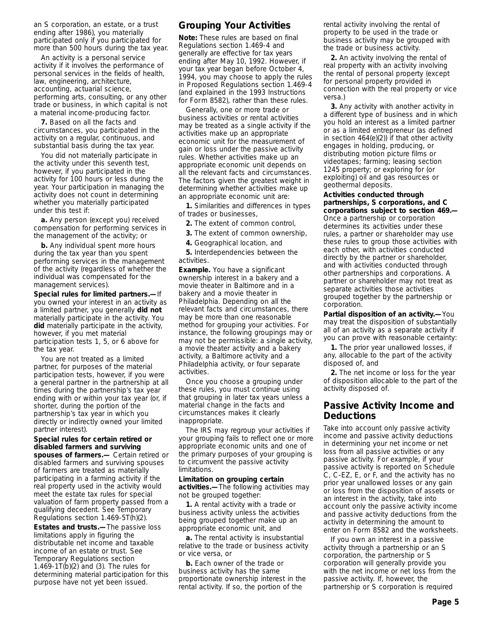an S corporation, an estate, or a trust ending after 1986), you materially participated only if you participated for more than 500 hours during the tax year.

An activity is a personal service activity if it involves the performance of personal services in the fields of health, law, engineering, architecture, accounting, actuarial science, performing arts, consulting, or any other trade or business, in which capital is not a material income-producing factor.

**7.** Based on all the facts and circumstances, you participated in the activity on a regular, continuous, and substantial basis during the tax year.

You did not materially participate in the activity under this seventh test, however, if you participated in the activity for 100 hours or less during the year. Your participation in managing the activity does not count in determining whether you materially participated under this test if:

**a.** Any person (except you) received compensation for performing services in the management of the activity; or

**b.** Any individual spent more hours during the tax year than you spent performing services in the management of the activity (regardless of whether the individual was compensated for the management services).

**Special rules for limited partners.—**If you owned your interest in an activity as a limited partner, you generally **did not** materially participate in the activity. You **did** materially participate in the activity, however, if you met material participation tests 1, 5, or 6 above for the tax year.

You are not treated as a limited partner, for purposes of the material participation tests, however, if you were a general partner in the partnership at all times during the partnership's tax year ending with or within your tax year (or, if shorter, during the portion of the partnership's tax year in which you directly or indirectly owned your limited partner interest).

#### **Special rules for certain retired or disabled farmers and surviving spouses of farmers.—** Certain retired or

disabled farmers and surviving spouses of farmers are treated as materially participating in a farming activity if the real property used in the activity would meet the estate tax rules for special valuation of farm property passed from a qualifying decedent. See Temporary Regulations section 1.469-5T(h)(2).

**Estates and trusts.—**The passive loss limitations apply in figuring the distributable net income and taxable income of an estate or trust. See Temporary Regulations section 1.469-1T(b)(2) and (3). The rules for determining material participation for this purpose have not yet been issued.

# **Grouping Your Activities**

**Note:** *These rules are based on final Regulations section 1.469-4 and generally are effective for tax years ending after May 10, 1992. However, if your tax year began before October 4, 1994, you may choose to apply the rules in Proposed Regulations section 1.469-4 (and explained in the 1993 Instructions for Form 8582), rather than these rules.*

Generally, one or more trade or business activities or rental activities may be treated as a single activity if the activities make up an appropriate economic unit for the measurement of gain or loss under the passive activity rules. Whether activities make up an appropriate economic unit depends on all the relevant facts and circumstances. The factors given the greatest weight in determining whether activities make up an appropriate economic unit are:

**1.** Similarities and differences in types of trades or businesses,

**2.** The extent of common control,

**3.** The extent of common ownership,

**4.** Geographical location, and

**5.** Interdependencies between the activities.

**Example.** You have a significant ownership interest in a bakery and a movie theater in Baltimore and in a bakery and a movie theater in Philadelphia. Depending on all the relevant facts and circumstances, there may be more than one reasonable method for grouping your activities. For instance, the following groupings may or may not be permissible: a single activity, a movie theater activity and a bakery activity, a Baltimore activity and a Philadelphia activity, or four separate activities.

Once you choose a grouping under these rules, you must continue using that grouping in later tax years unless a material change in the facts and circumstances makes it clearly inappropriate.

The IRS may regroup your activities if your grouping fails to reflect one or more appropriate economic units and one of the primary purposes of your grouping is to circumvent the passive activity limitations.

#### **Limitation on grouping certain**

**activities.—**The following activities may not be grouped together:

**1.** A rental activity with a trade or business activity unless the activities being grouped together make up an appropriate economic unit, and

**a.** The rental activity is insubstantial relative to the trade or business activity or vice versa, or

**b.** Each owner of the trade or business activity has the same proportionate ownership interest in the rental activity. If so, the portion of the

rental activity involving the rental of property to be used in the trade or business activity may be grouped with the trade or business activity.

**2.** An activity involving the rental of real property with an activity involving the rental of personal property (except for personal property provided in connection with the real property or vice versa.)

**3.** Any activity with another activity in a different type of business and in which you hold an interest as a limited partner or as a limited entrepreneur (as defined in section 464(e)(2)) if that other activity engages in holding, producing, or distributing motion picture films or videotapes; farming; leasing section 1245 property; or exploring for (or exploiting) oil and gas resources or geothermal deposits.

**Activities conducted through partnerships, S corporations, and C corporations subject to section 469.—** Once a partnership or corporation determines its activities under these rules, a partner or shareholder may use these rules to group those activities with each other, with activities conducted directly by the partner or shareholder, and with activities conducted through other partnerships and corporations. A partner or shareholder may not treat as separate activities those activities grouped together by the partnership or corporation.

**Partial disposition of an activity.—**You may treat the disposition of substantially all of an activity as a separate activity if you can prove with reasonable certainty:

**1.** The prior year unallowed losses, if any, allocable to the part of the activity disposed of, and

**2.** The net income or loss for the year of disposition allocable to the part of the activity disposed of.

### **Passive Activity Income and Deductions**

Take into account only passive activity income and passive activity deductions in determining your net income or net loss from all passive activities or any passive activity. For example, if your passive activity is reported on Schedule C, C-EZ, E, or F, and the activity has no prior year unallowed losses or any gain or loss from the disposition of assets or an interest in the activity, take into account only the passive activity income and passive activity deductions from the activity in determining the amount to enter on Form 8582 and the worksheets.

If you own an interest in a passive activity through a partnership or an S corporation, the partnership or S corporation will generally provide you with the net income or net loss from the passive activity. If, however, the partnership or S corporation is required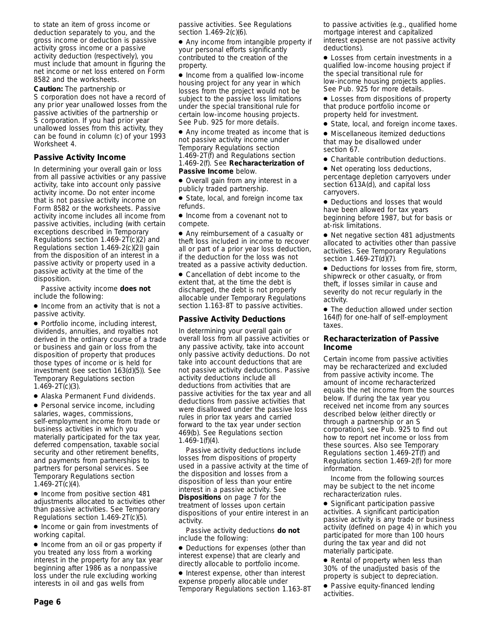to state an item of gross income or deduction separately to you, and the gross income or deduction is passive activity gross income or a passive activity deduction (respectively), you must include that amount in figuring the net income or net loss entered on Form 8582 and the worksheets.

#### **Caution:** *The partnership or*

*S corporation does not have a record of any prior year unallowed losses from the passive activities of the partnership or S corporation. If you had prior year unallowed losses from this activity, they can be found in column (c) of your 1993 Worksheet 4.*

#### **Passive Activity Income**

In determining your overall gain or loss from all passive activities or any passive activity, take into account only passive activity income. Do not enter income that is not passive activity income on Form 8582 or the worksheets. Passive activity income includes all income from passive activities, including (with certain exceptions described in Temporary Regulations section 1.469-2T(c)(2) and Regulations section 1.469-2(c)(2)) gain from the disposition of an interest in a passive activity or property used in a passive activity at the time of the disposition.

Passive activity income **does not** include the following:

● Income from an activity that is not a passive activity.

● Portfolio income, including interest, dividends, annuities, and royalties not derived in the ordinary course of a trade or business and gain or loss from the disposition of property that produces those types of income or is held for investment (see section 163(d)(5)). See Temporary Regulations section 1.469-2T(c)(3).

● Alaska Permanent Fund dividends.

● Personal service income, including salaries, wages, commissions, self-employment income from trade or business activities in which you materially participated for the tax year, deferred compensation, taxable social security and other retirement benefits, and payments from partnerships to partners for personal services. See Temporary Regulations section 1.469-2T(c)(4).

● Income from positive section 481 adjustments allocated to activities other than passive activities. See Temporary Regulations section 1.469-2T(c)(5).

● Income or gain from investments of working capital.

● Income from an oil or gas property if you treated any loss from a working interest in the property for any tax year beginning after 1986 as a nonpassive loss under the rule excluding working interests in oil and gas wells from

passive activities. See Regulations section 1.469-2(c)(6).

● Any income from intangible property if your personal efforts significantly contributed to the creation of the property.

● Income from a qualified low-income housing project for any year in which losses from the project would not be subject to the passive loss limitations under the special transitional rule for certain low-income housing projects. See Pub. 925 for more details.

● Any income treated as income that is not passive activity income under Temporary Regulations section 1.469-2T(f) and Regulations section 1.469-2(f). See **Recharacterization of Passive Income** below.

● Overall gain from any interest in a publicly traded partnership.

● State, local, and foreign income tax refunds.

● Income from a covenant not to compete.

● Any reimbursement of a casualty or theft loss included in income to recover all or part of a prior year loss deduction, if the deduction for the loss was not treated as a passive activity deduction.

● Cancellation of debt income to the extent that, at the time the debt is discharged, the debt is not properly allocable under Temporary Regulations section 1.163-8T to passive activities.

#### **Passive Activity Deductions**

In determining your overall gain or overall loss from all passive activities or any passive activity, take into account only passive activity deductions. Do not take into account deductions that are not passive activity deductions. Passive activity deductions include all deductions from activities that are passive activities for the tax year and all deductions from passive activities that were disallowed under the passive loss rules in prior tax years and carried forward to the tax year under section 469(b). See Regulations section 1.469-1(f)(4).

Passive activity deductions include losses from dispositions of property used in a passive activity at the time of the disposition and losses from a disposition of less than your entire interest in a passive activity. See **Dispositions** on page 7 for the treatment of losses upon certain dispositions of your entire interest in an activity.

Passive activity deductions **do not** include the following:

● Deductions for expenses (other than interest expense) that are clearly and directly allocable to portfolio income.

● Interest expense, other than interest expense properly allocable under Temporary Regulations section 1.163-8T to passive activities (e.g., qualified home mortgage interest and capitalized interest expense are not passive activity deductions).

● Losses from certain investments in a qualified low-income housing project if the special transitional rule for low-income housing projects applies. See Pub. 925 for more details.

● Losses from dispositions of property that produce portfolio income or property held for investment.

● State, local, and foreign income taxes.

● Miscellaneous itemized deductions that may be disallowed under section 67.

● Charitable contribution deductions.

● Net operating loss deductions, percentage depletion carryovers under section 613A(d), and capital loss carryovers.

● Deductions and losses that would have been allowed for tax years beginning before 1987, but for basis or at-risk limitations.

● Net negative section 481 adjustments allocated to activities other than passive activities. See Temporary Regulations section 1.469-2T(d)(7).

● Deductions for losses from fire, storm, shipwreck or other casualty, or from theft, if losses similar in cause and severity do not recur regularly in the activity.

• The deduction allowed under section 164(f) for one-half of self-employment taxes.

#### **Recharacterization of Passive Income**

Certain income from passive activities may be recharacterized and excluded from passive activity income. The amount of income recharacterized equals the net income from the sources below. If during the tax year you received net income from any sources described below (either directly or through a partnership or an S corporation), see Pub. 925 to find out how to report net income or loss from these sources. Also see Temporary Regulations section 1.469-2T(f) and Regulations section 1.469-2(f) for more information.

Income from the following sources may be subject to the net income recharacterization rules.

● Significant participation passive activities. A significant participation passive activity is any trade or business activity (defined on page 4) in which you participated for more than 100 hours during the tax year and did not materially participate.

● Rental of property when less than 30% of the unadjusted basis of the property is subject to depreciation.

● Passive equity-financed lending activities.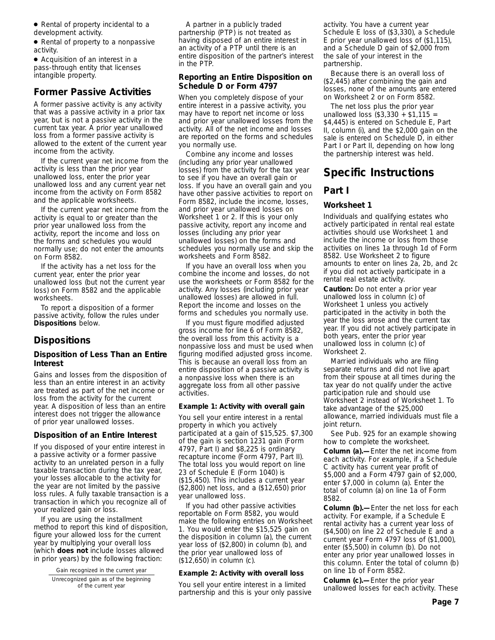● Rental of property incidental to a development activity.

● Rental of property to a nonpassive activity.

● Acquisition of an interest in a pass-through entity that licenses intangible property.

### **Former Passive Activities**

A former passive activity is any activity that was a passive activity in a prior tax year, but is not a passive activity in the current tax year. A prior year unallowed loss from a former passive activity is allowed to the extent of the current year income from the activity.

If the current year net income from the activity is less than the prior year unallowed loss, enter the prior year unallowed loss and any current year net income from the activity on Form 8582 and the applicable worksheets.

If the current year net income from the activity is equal to or greater than the prior year unallowed loss from the activity, report the income and loss on the forms and schedules you would normally use; do not enter the amounts on Form 8582.

If the activity has a net loss for the current year, enter the prior year unallowed loss (but not the current year loss) on Form 8582 and the applicable worksheets.

To report a disposition of a former passive activity, follow the rules under **Dispositions** below.

# **Dispositions**

#### **Disposition of Less Than an Entire Interest**

Gains and losses from the disposition of less than an entire interest in an activity are treated as part of the net income or loss from the activity for the current year. A disposition of less than an entire interest does not trigger the allowance of prior year unallowed losses.

### **Disposition of an Entire Interest**

If you disposed of your entire interest in a passive activity or a former passive activity to an unrelated person in a fully taxable transaction during the tax year, your losses allocable to the activity for the year are not limited by the passive loss rules. A fully taxable transaction is a transaction in which you recognize all of your realized gain or loss.

If you are using the installment method to report this kind of disposition, figure your allowed loss for the current year by multiplying your overall loss (which **does not** include losses allowed in prior years) by the following fraction:

> Gain recognized in the current year Unrecognized gain as of the beginning of the current year

A partner in a publicly traded partnership (PTP) is not treated as having disposed of an entire interest in an activity of a PTP until there is an entire disposition of the partner's interest in the PTP.

#### **Reporting an Entire Disposition on Schedule D or Form 4797**

When you completely dispose of your entire interest in a passive activity, you may have to report net income or loss and prior year unallowed losses from the activity. All of the net income and losses are reported on the forms and schedules you normally use.

Combine any income and losses (including any prior year unallowed losses) from the activity for the tax year to see if you have an overall gain or loss. If you have an overall gain and you have other passive activities to report on Form 8582, include the income, losses, and prior year unallowed losses on Worksheet 1 or 2. If this is your only passive activity, report any income and losses (including any prior year unallowed losses) on the forms and schedules you normally use and skip the worksheets and Form 8582.

If you have an overall loss when you combine the income and losses, do not use the worksheets or Form 8582 for the activity. Any losses (including prior year unallowed losses) are allowed in full. Report the income and losses on the forms and schedules you normally use.

If you must figure modified adjusted gross income for line 6 of Form 8582, the overall loss from this activity is a nonpassive loss and must be used when figuring modified adjusted gross income. This is because an overall loss from an entire disposition of a passive activity is a nonpassive loss when there is an aggregate loss from all other passive activities.

#### **Example 1: Activity with overall gain**

You sell your entire interest in a rental property in which you actively participated at a gain of \$15,525. \$7,300 of the gain is section 1231 gain (Form 4797, Part I) and \$8,225 is ordinary recapture income (Form 4797, Part II). The total loss you would report on line 23 of Schedule E (Form 1040) is (\$15,450). This includes a current year (\$2,800) net loss, and a (\$12,650) prior year unallowed loss.

If you had other passive activities reportable on Form 8582, you would make the following entries on Worksheet 1. You would enter the \$15,525 gain on the disposition in column (a), the current year loss of (\$2,800) in column (b), and the prior year unallowed loss of (\$12,650) in column (c).

#### **Example 2: Activity with overall loss**

You sell your entire interest in a limited partnership and this is your only passive activity. You have a current year Schedule E loss of (\$3,330), a Schedule E prior year unallowed loss of (\$1,115), and a Schedule D gain of \$2,000 from the sale of your interest in the partnership.

Because there is an overall loss of (\$2,445) after combining the gain and losses, none of the amounts are entered on Worksheet 2 or on Form 8582.

The net loss plus the prior year unallowed loss (\$3,330 + \$1,115 = \$4,445) is entered on Schedule E, Part II, column (i), and the \$2,000 gain on the sale is entered on Schedule D, in either Part I or Part II, depending on how long the partnership interest was held.

# **Specific Instructions**

### **Part I**

#### **Worksheet 1**

Individuals and qualifying estates who actively participated in rental real estate activities should use Worksheet 1 and include the income or loss from those activities on lines 1a through 1d of Form 8582. Use Worksheet 2 to figure amounts to enter on lines 2a, 2b, and 2c if you did not actively participate in a rental real estate activity.

**Caution:** *Do not enter a prior year unallowed loss in column (c) of Worksheet 1 unless you actively participated in the activity in both the year the loss arose and the current tax year. If you did not actively participate in both years, enter the prior year unallowed loss in column (c) of Worksheet 2.*

*Married individuals who are filing separate returns and did not live apart from their spouse at all times during the tax year do not qualify under the active participation rule and should use Worksheet 2 instead of Worksheet 1. To take advantage of the \$25,000 allowance, married individuals must file a joint return.*

See Pub. 925 for an example showing how to complete the worksheet.

**Column (a).—**Enter the net income from each activity. For example, if a Schedule C activity has current year profit of \$5,000 and a Form 4797 gain of \$2,000, enter \$7,000 in column (a). Enter the total of column (a) on line 1a of Form 8582.

**Column (b).—**Enter the net loss for each activity. For example, if a Schedule E rental activity has a current year loss of (\$4,500) on line 22 of Schedule E and a current year Form 4797 loss of (\$1,000), enter (\$5,500) in column (b). Do not enter any prior year unallowed losses in this column. Enter the total of column (b) on line 1b of Form 8582.

**Column (c).—**Enter the prior year unallowed losses for each activity. These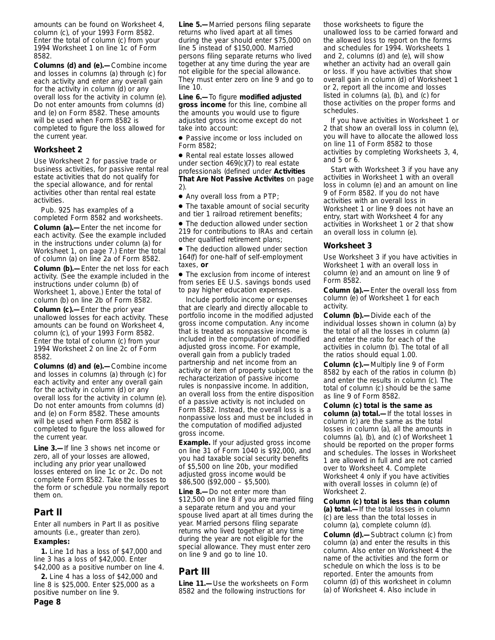amounts can be found on Worksheet 4, column (c), of your 1993 Form 8582. Enter the total of column (c) from your 1994 Worksheet 1 on line 1c of Form 8582.

**Columns (d) and (e).—**Combine income and losses in columns (a) through (c) for each activity and enter any overall gain for the activity in column (d) or any overall loss for the activity in column (e). Do not enter amounts from columns (d) and (e) on Form 8582. These amounts will be used when Form 8582 is completed to figure the loss allowed for the current year.

#### **Worksheet 2**

Use Worksheet 2 for passive trade or business activities, for passive rental real estate activities that do not qualify for the special allowance, and for rental activities other than rental real estate activities.

Pub. 925 has examples of a completed Form 8582 and worksheets. **Column (a).—**Enter the net income for each activity. (See the example included in the instructions under column (a) for Worksheet 1, on page 7.) Enter the total of column (a) on line 2a of Form 8582. **Column (b).—**Enter the net loss for each activity. (See the example included in the instructions under column (b) of Worksheet 1, above.) Enter the total of column (b) on line 2b of Form 8582.

**Column (c).—**Enter the prior year unallowed losses for each activity. These amounts can be found on Worksheet 4, column (c), of your 1993 Form 8582. Enter the total of column (c) from your 1994 Worksheet 2 on line 2c of Form 8582.

**Columns (d) and (e).—**Combine income and losses in columns (a) through (c) for each activity and enter any overall gain for the activity in column (d) or any overall loss for the activity in column (e). Do not enter amounts from columns (d) and (e) on Form 8582. These amounts will be used when Form 8582 is completed to figure the loss allowed for the current year.

**Line 3.—**If line 3 shows net income or zero, all of your losses are allowed, including any prior year unallowed losses entered on line 1c or 2c. Do not complete Form 8582. Take the losses to the form or schedule you normally report them on.

### **Part II**

Enter all numbers in Part II as positive amounts (i.e., greater than zero).

#### **Examples:**

**1.** Line 1d has a loss of \$47,000 and line 3 has a loss of \$42,000. Enter \$42,000 as a positive number on line 4.

**2.** Line 4 has a loss of \$42,000 and line 8 is \$25,000. Enter \$25,000 as a positive number on line 9.

**Line 5.—**Married persons filing separate returns who lived apart at all times during the year should enter \$75,000 on line 5 instead of \$150,000. Married persons filing separate returns who lived together at any time during the year are not eligible for the special allowance. They must enter zero on line 9 and go to  $line 10$ 

**Line 6.—**To figure **modified adjusted gross income** for this line, combine all the amounts you would use to figure adjusted gross income except do not take into account:

● Passive income or loss included on Form 8582;

● Rental real estate losses allowed under section 469(c)(7) to real estate professionals (defined under **Activities That Are Not Passive Activites** on page 2).

● Any overall loss from a PTP;

● The taxable amount of social security and tier 1 railroad retirement benefits;

● The deduction allowed under section 219 for contributions to IRAs and certain other qualified retirement plans;

● The deduction allowed under section 164(f) for one-half of self-employment taxes, **or**

● The exclusion from income of interest from series EE U.S. savings bonds used to pay higher education expenses.

Include portfolio income or expenses that are clearly and directly allocable to portfolio income in the modified adjusted gross income computation. Any income that is treated as nonpassive income is included in the computation of modified adjusted gross income. For example, overall gain from a publicly traded partnership and net income from an activity or item of property subject to the recharacterization of passive income rules is nonpassive income. In addition, an overall loss from the entire disposition of a passive activity is not included on Form 8582. Instead, the overall loss is a nonpassive loss and must be included in the computation of modified adjusted gross income.

**Example.** If your adjusted gross income on line 31 of Form 1040 is \$92,000, and you had taxable social security benefits of \$5,500 on line 20b, your modified adjusted gross income would be \$86,500 (\$92,000 – \$5,500).

**Line 8.—**Do not enter more than \$12,500 on line 8 if you are married filing a separate return and you and your spouse lived apart at all times during the year. Married persons filing separate returns who lived together at any time during the year are not eligible for the special allowance. They must enter zero on line 9 and go to line 10.

# **Part III**

**Line 11.—**Use the worksheets on Form 8582 and the following instructions for

those worksheets to figure the unallowed loss to be carried forward and the allowed loss to report on the forms and schedules for 1994. Worksheets 1 and 2, columns (d) and (e), will show whether an activity had an overall gain or loss. If you have activities that show overall gain in column (d) of Worksheet 1 or 2, report all the income and losses listed in columns (a), (b), and (c) for those activities on the proper forms and schedules.

If you have activities in Worksheet 1 or 2 that show an overall loss in column (e), you will have to allocate the allowed loss on line 11 of Form 8582 to those activities by completing Worksheets 3, 4, and 5 or 6.

Start with Worksheet 3 if you have any activities in Worksheet 1 with an overall loss in column (e) and an amount on line 9 of Form 8582. If you do not have activities with an overall loss in Worksheet 1 or line 9 does not have an entry, start with Worksheet 4 for any activities in Worksheet 1 or 2 that show an overall loss in column (e).

#### **Worksheet 3**

Use Worksheet 3 if you have activities in Worksheet 1 with an overall loss in column (e) and an amount on line 9 of Form 8582.

**Column (a).—**Enter the overall loss from column (e) of Worksheet 1 for each activity.

**Column (b).—**Divide each of the individual losses shown in column (a) by the total of all the losses in column (a) and enter the ratio for each of the activities in column (b). The total of all the ratios should equal 1.00.

**Column (c).—**Multiply line 9 of Form 8582 by each of the ratios in column (b) and enter the results in column (c). The total of column (c) should be the same as line 9 of Form 8582.

**Column (c) total is the same as column (a) total.—**If the total losses in column (c) are the same as the total losses in column (a), all the amounts in columns (a), (b), and (c) of Worksheet 1 should be reported on the proper forms and schedules. The losses in Worksheet 1 are allowed in full and are not carried over to Worksheet 4. Complete Worksheet 4 only if you have activities with overall losses in column (e) of Worksheet 2.

**Column (c) total is less than column (a) total.—**If the total losses in column (c) are less than the total losses in column (a), complete column (d).

**Column (d).—**Subtract column (c) from column (a) and enter the results in this column. Also enter on Worksheet 4 the name of the activities and the form or schedule on which the loss is to be reported. Enter the amounts from column (d) of this worksheet in column (a) of Worksheet 4. Also include in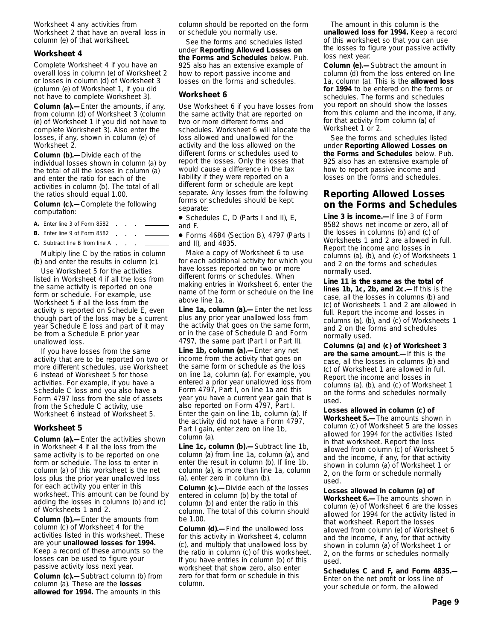Worksheet 4 any activities from Worksheet 2 that have an overall loss in column (e) of that worksheet.

#### **Worksheet 4**

Complete Worksheet 4 if you have an overall loss in column (e) of Worksheet 2 or losses in column (d) of Worksheet 3 (column (e) of Worksheet 1, if you did not have to complete Worksheet 3).

**Column (a).—**Enter the amounts, if any, from column (d) of Worksheet 3 (column (e) of Worksheet 1 if you did not have to complete Worksheet 3). Also enter the losses, if any, shown in column (e) of Worksheet 2.

**Column (b).—**Divide each of the individual losses shown in column (a) by the total of all the losses in column (a) and enter the ratio for each of the activities in column (b). The total of all the ratios should equal 1.00.

**Column (c).—**Complete the following computation:

- **A.** Enter line 3 of Form 8582
- **B.** Enter line 9 of Form 8582
- **C.** Subtract line B from line A. **Service**

Multiply line C by the ratios in column (b) and enter the results in column (c).

Use Worksheet 5 for the activities listed in Worksheet 4 if all the loss from the same activity is reported on one form or schedule. For example, use Worksheet 5 if all the loss from the activity is reported on Schedule E, even though part of the loss may be a current year Schedule E loss and part of it may be from a Schedule E prior year unallowed loss.

If you have losses from the same activity that are to be reported on two or more different schedules, use Worksheet 6 instead of Worksheet 5 for those activities. For example, if you have a Schedule C loss and you also have a Form 4797 loss from the sale of assets from the Schedule C activity, use Worksheet 6 instead of Worksheet 5.

#### **Worksheet 5**

**Column (a).—**Enter the activities shown in Worksheet 4 if all the loss from the same activity is to be reported on one form or schedule. The loss to enter in column (a) of this worksheet is the net loss plus the prior year unallowed loss for each activity you enter in this worksheet. This amount can be found by adding the losses in columns (b) and (c) of Worksheets 1 and 2.

**Column (b).—**Enter the amounts from column (c) of Worksheet 4 for the activities listed in this worksheet. These are your **unallowed losses for 1994.** Keep a record of these amounts so the losses can be used to figure your passive activity loss next year.

**Column (c).—**Subtract column (b) from column (a). These are the **losses allowed for 1994.** The amounts in this

column should be reported on the form or schedule you normally use.

See the forms and schedules listed under **Reporting Allowed Losses on the Forms and Schedules** below. Pub. 925 also has an extensive example of how to report passive income and losses on the forms and schedules.

#### **Worksheet 6**

Use Worksheet 6 if you have losses from the same activity that are reported on two or more different forms and schedules. Worksheet 6 will allocate the loss allowed and unallowed for the activity and the loss allowed on the different forms or schedules used to report the losses. Only the losses that would cause a difference in the tax liability if they were reported on a different form or schedule are kept separate. Any losses from the following forms or schedules should be kept separate:

● Schedules C, D (Parts I and II), E, and F.

● Forms 4684 (Section B), 4797 (Parts I and II), and 4835.

Make a copy of Worksheet 6 to use for each additional activity for which you have losses reported on two or more different forms or schedules. When making entries in Worksheet 6, enter the name of the form or schedule on the line above line 1a.

**Line 1a, column (a).—**Enter the net loss plus any prior year unallowed loss from the activity that goes on the same form, or in the case of Schedule D and Form 4797, the same part (Part I or Part II).

**Line 1b, column (a).—**Enter any net income from the activity that goes on the same form or schedule as the loss on line 1a, column (a). For example, you entered a prior year unallowed loss from Form 4797, Part I, on line 1a and this year you have a current year gain that is also reported on Form 4797, Part I. Enter the gain on line 1b, column (a). If the activity did not have a Form 4797, Part I gain, enter zero on line 1b, column (a).

**Line 1c, column (b).—**Subtract line 1b, column (a) from line 1a, column (a), and enter the result in column (b). If line 1b, column (a), is more than line 1a, column (a), enter zero in column (b).

**Column (c).—**Divide each of the losses entered in column (b) by the total of column (b) and enter the ratio in this column. The total of this column should be 1.00.

**Column (d).—**Find the unallowed loss for this activity in Worksheet 4, column (c), and multiply that unallowed loss by the ratio in column (c) of this worksheet. If you have entries in column (b) of this worksheet that show zero, also enter zero for that form or schedule in this column.

The amount in this column is the **unallowed loss for 1994.** Keep a record of this worksheet so that you can use the losses to figure your passive activity loss next year.

**Column (e).—**Subtract the amount in column (d) from the loss entered on line 1a, column (a). This is the **allowed loss for 1994** to be entered on the forms or schedules. The forms and schedules you report on should show the losses from this column and the income, if any, for that activity from column (a) of Worksheet 1 or 2.

See the forms and schedules listed under **Reporting Allowed Losses on the Forms and Schedules** below. Pub. 925 also has an extensive example of how to report passive income and losses on the forms and schedules.

### **Reporting Allowed Losses on the Forms and Schedules**

**Line 3 is income.—**If line 3 of Form 8582 shows net income or zero, all of the losses in columns (b) and (c) of Worksheets 1 and 2 are allowed in full. Report the income and losses in columns (a), (b), and (c) of Worksheets 1 and 2 on the forms and schedules normally used.

**Line 11 is the same as the total of lines 1b, 1c, 2b, and 2c.—**If this is the case, all the losses in columns (b) and (c) of Worksheets 1 and 2 are allowed in full. Report the income and losses in columns (a), (b), and (c) of Worksheets 1 and 2 on the forms and schedules normally used.

**Columns (a) and (c) of Worksheet 3 are the same amount.—**If this is the case, all the losses in columns (b) and (c) of Worksheet 1 are allowed in full. Report the income and losses in columns (a), (b), and (c) of Worksheet 1 on the forms and schedules normally used.

**Losses allowed in column (c) of Worksheet 5.—**The amounts shown in column (c) of Worksheet 5 are the losses allowed for 1994 for the activities listed in that worksheet. Report the loss allowed from column (c) of Worksheet 5 and the income, if any, for that activity shown in column (a) of Worksheet 1 or 2, on the form or schedule normally used.

**Losses allowed in column (e) of Worksheet 6.—**The amounts shown in column (e) of Worksheet 6 are the losses allowed for 1994 for the activity listed in that worksheet. Report the losses allowed from column (e) of Worksheet 6 and the income, if any, for that activity shown in column (a) of Worksheet 1 or 2, on the forms or schedules normally used.

**Schedules C and F, and Form 4835.—** Enter on the net profit or loss line of your schedule or form, the allowed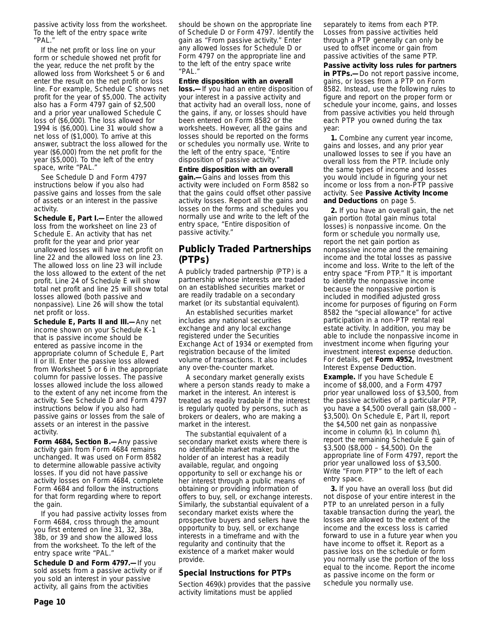passive activity loss from the worksheet. To the left of the entry space write "PAL."

If the net profit or loss line on your form or schedule showed net profit for the year, reduce the net profit by the allowed loss from Worksheet 5 or 6 and enter the result on the net profit or loss line. For example, Schedule C shows net profit for the year of \$5,000. The activity also has a Form 4797 gain of \$2,500 and a prior year unallowed Schedule C loss of (\$6,000). The loss allowed for 1994 is (\$6,000). Line 31 would show a net loss of (\$1,000). To arrive at this answer, subtract the loss allowed for the year (\$6,000) from the net profit for the year (\$5,000). To the left of the entry space, write "PAL."

See Schedule D and Form 4797 instructions below if you also had passive gains and losses from the sale of assets or an interest in the passive activity.

**Schedule E, Part I.—**Enter the allowed loss from the worksheet on line 23 of Schedule E. An activity that has net profit for the year and prior year unallowed losses will have net profit on line 22 and the allowed loss on line 23. The allowed loss on line 23 will include the loss allowed to the extent of the net profit. Line 24 of Schedule E will show total net profit and line 25 will show total losses allowed (both passive and nonpassive). Line 26 will show the total net profit or loss.

**Schedule E, Parts II and III.—**Any net income shown on your Schedule K-1 that is passive income should be entered as passive income in the appropriate column of Schedule E, Part II or III. Enter the passive loss allowed from Worksheet 5 or 6 in the appropriate column for passive losses. The passive losses allowed include the loss allowed to the extent of any net income from the activity. See Schedule D and Form 4797 instructions below if you also had passive gains or losses from the sale of assets or an interest in the passive activity.

**Form 4684, Section B.—**Any passive activity gain from Form 4684 remains unchanged. It was used on Form 8582 to determine allowable passive activity losses. If you did not have passive activity losses on Form 4684, complete Form 4684 and follow the instructions for that form regarding where to report the gain.

If you had passive activity losses from Form 4684, cross through the amount you first entered on line 31, 32, 38a, 38b, or 39 and show the allowed loss from the worksheet. To the left of the entry space write "PAL."

**Schedule D and Form 4797.—**If you sold assets from a passive activity or if you sold an interest in your passive activity, all gains from the activities

should be shown on the appropriate line of Schedule D or Form 4797. Identify the gain as "From passive activity." Enter any allowed losses for Schedule D or Form 4797 on the appropriate line and to the left of the entry space write "PAL."

**Entire disposition with an overall loss.—**If you had an entire disposition of your interest in a passive activity and that activity had an overall loss, none of the gains, if any, or losses should have been entered on Form 8582 or the worksheets. However, all the gains and losses should be reported on the forms or schedules you normally use. Write to the left of the entry space, "Entire disposition of passive activity."

**Entire disposition with an overall gain.—**Gains and losses from this activity were included on Form 8582 so that the gains could offset other passive activity losses. Report all the gains and losses on the forms and schedules you normally use and write to the left of the entry space, "Entire disposition of passive activity."

## **Publicly Traded Partnerships (PTPs)**

A publicly traded partnership (PTP) is a partnership whose interests are traded on an established securities market or are readily tradable on a secondary market (or its substantial equivalent).

An established securities market includes any national securities exchange and any local exchange registered under the Securities Exchange Act of 1934 or exempted from registration because of the limited volume of transactions. It also includes any over-the-counter market.

A secondary market generally exists where a person stands ready to make a market in the interest. An interest is treated as readily tradable if the interest is regularly quoted by persons, such as brokers or dealers, who are making a market in the interest.

The substantial equivalent of a secondary market exists where there is no identifiable market maker, but the holder of an interest has a readily available, regular, and ongoing opportunity to sell or exchange his or her interest through a public means of obtaining or providing information of offers to buy, sell, or exchange interests. Similarly, the substantial equivalent of a secondary market exists where the prospective buyers and sellers have the opportunity to buy, sell, or exchange interests in a timeframe and with the regularity and continuity that the existence of a market maker would provide.

### **Special Instructions for PTPs**

Section 469(k) provides that the passive activity limitations must be applied

separately to items from each PTP. Losses from passive activities held through a PTP generally can only be used to offset income or gain from passive activities of the same PTP.

**Passive activity loss rules for partners in PTPs.—**Do not report passive income, gains, or losses from a PTP on Form 8582. Instead, use the following rules to figure and report on the proper form or schedule your income, gains, and losses from passive activities you held through each PTP you owned during the tax year:

**1.** Combine any current year income, gains and losses, and any prior year unallowed losses to see if you have an overall loss from the PTP. Include only the same types of income and losses you would include in figuring your net income or loss from a non-PTP passive activity. See **Passive Activity Income and Deductions** on page 5.

**2.** If you have an overall gain, the net gain portion (total gain minus total losses) is nonpassive income. On the form or schedule you normally use, report the net gain portion as nonpassive income and the remaining income and the total losses as passive income and loss. Write to the left of the entry space "From PTP." It is important to identify the nonpassive income because the nonpassive portion is included in modified adjusted gross income for purposes of figuring on Form 8582 the "special allowance" for active participation in a non-PTP rental real estate activity. In addition, you may be able to include the nonpassive income in investment income when figuring your investment interest expense deduction. For details, get **Form 4952,** Investment Interest Expense Deduction.

**Example.** If you have Schedule E income of \$8,000, and a Form 4797 prior year unallowed loss of \$3,500, from the passive activities of a particular PTP, you have a \$4,500 overall gain (\$8,000 – \$3,500). On Schedule E, Part II, report the \$4,500 net gain as nonpassive income in column (k). In column (h), report the remaining Schedule E gain of  $$3,500$  (\$8,000 – \$4,500). On the appropriate line of Form 4797, report the prior year unallowed loss of \$3,500. Write "From PTP" to the left of each entry space.

**3.** If you have an overall loss (but did not dispose of your entire interest in the PTP to an unrelated person in a fully taxable transaction during the year), the losses are allowed to the extent of the income and the excess loss is carried forward to use in a future year when you have income to offset it. Report as a passive loss on the schedule or form you normally use the portion of the loss equal to the income. Report the income as passive income on the form or schedule you normally use.